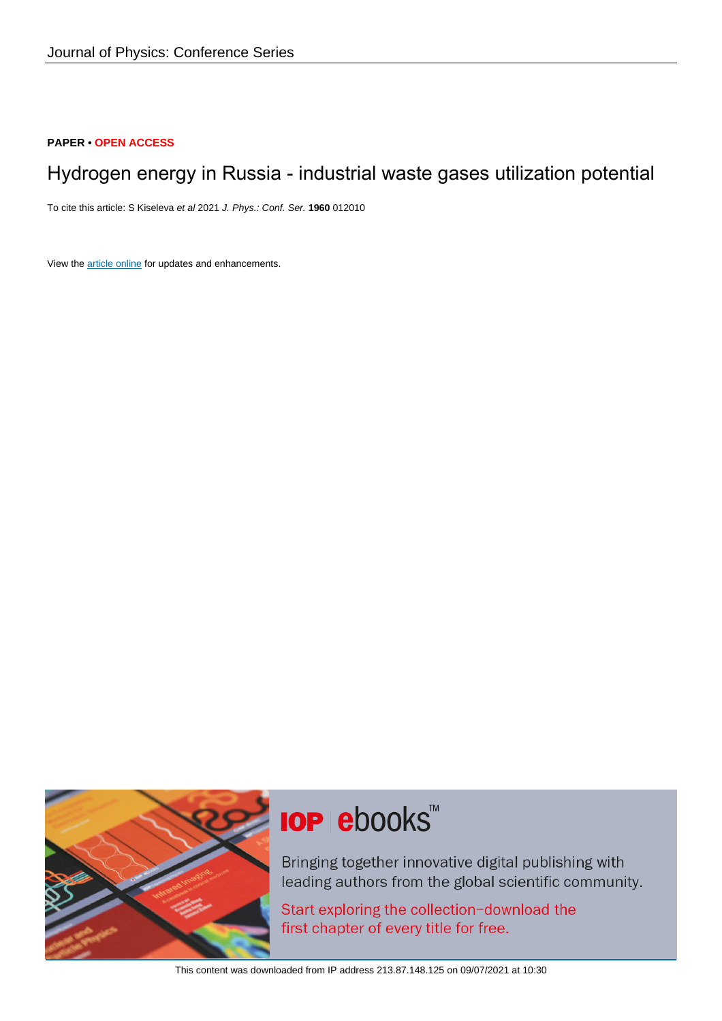#### **PAPER • OPEN ACCESS**

## Hydrogen energy in Russia - industrial waste gases utilization potential

To cite this article: S Kiseleva et al 2021 J. Phys.: Conf. Ser. **1960** 012010

View the [article online](https://doi.org/10.1088/1742-6596/1960/1/012010) for updates and enhancements.



# **IOP ebooks**™

Bringing together innovative digital publishing with leading authors from the global scientific community.

Start exploring the collection-download the first chapter of every title for free.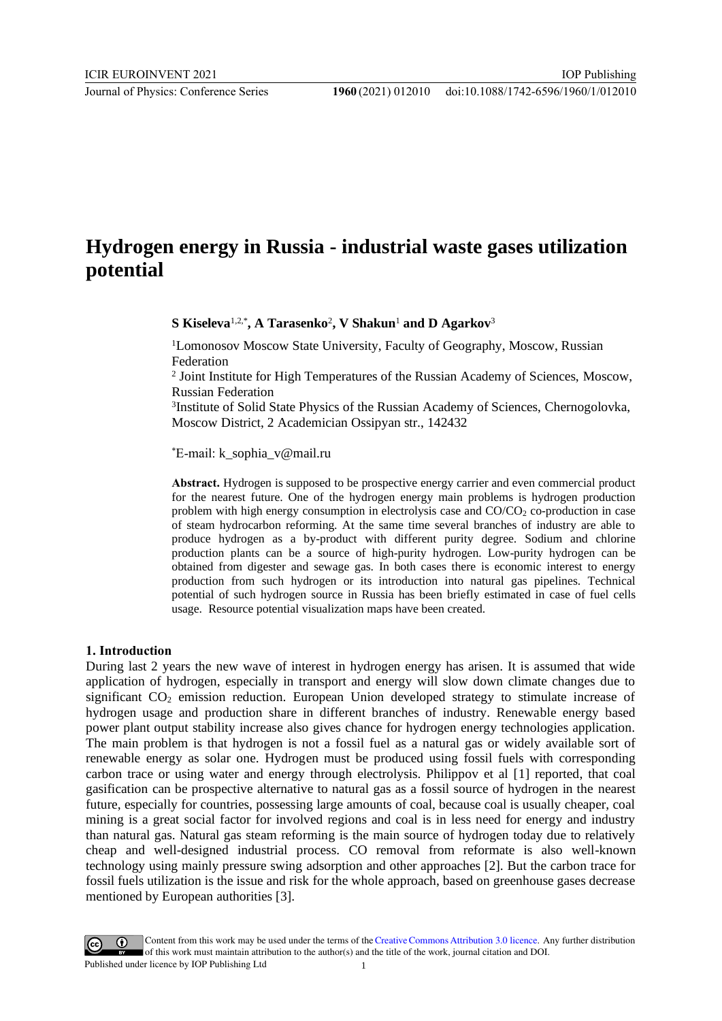### **Hydrogen energy in Russia - industrial waste gases utilization potential**

**S Kiseleva**1,2,\* **, A Tarasenko**<sup>2</sup> **, V Shakun**<sup>1</sup> **and D Agarkov**<sup>3</sup>

<sup>1</sup>Lomonosov Moscow State University, Faculty of Geography, Moscow, Russian Federation

<sup>2</sup> Joint Institute for High Temperatures of the Russian Academy of Sciences, Moscow, Russian Federation

<sup>3</sup>Institute of Solid State Physics of the Russian Academy of Sciences, Chernogolovka, Moscow District, 2 Academician Ossipyan str., 142432

\*E-mail: k\_sophia\_v@mail.ru

**Abstract.** Hydrogen is supposed to be prospective energy carrier and even commercial product for the nearest future. One of the hydrogen energy main problems is hydrogen production problem with high energy consumption in electrolysis case and  $CO/CO<sub>2</sub>$  co-production in case of steam hydrocarbon reforming. At the same time several branches of industry are able to produce hydrogen as a by-product with different purity degree. Sodium and chlorine production plants can be a source of high-purity hydrogen. Low-purity hydrogen can be obtained from digester and sewage gas. In both cases there is economic interest to energy production from such hydrogen or its introduction into natural gas pipelines. Technical potential of such hydrogen source in Russia has been briefly estimated in case of fuel cells usage. Resource potential visualization maps have been created.

#### **1. Introduction**

During last 2 years the new wave of interest in hydrogen energy has arisen. It is assumed that wide application of hydrogen, especially in transport and energy will slow down climate changes due to significant  $CO<sub>2</sub>$  emission reduction. European Union developed strategy to stimulate increase of hydrogen usage and production share in different branches of industry. Renewable energy based power plant output stability increase also gives chance for hydrogen energy technologies application. The main problem is that hydrogen is not a fossil fuel as a natural gas or widely available sort of renewable energy as solar one. Hydrogen must be produced using fossil fuels with corresponding carbon trace or using water and energy through electrolysis. Philippov et al [1] reported, that coal gasification can be prospective alternative to natural gas as a fossil source of hydrogen in the nearest future, especially for countries, possessing large amounts of coal, because coal is usually cheaper, coal mining is a great social factor for involved regions and coal is in less need for energy and industry than natural gas. Natural gas steam reforming is the main source of hydrogen today due to relatively cheap and well-designed industrial process. CO removal from reformate is also well-known technology using mainly pressure swing adsorption and other approaches [2]. But the carbon trace for fossil fuels utilization is the issue and risk for the whole approach, based on greenhouse gases decrease mentioned by European authorities [3].

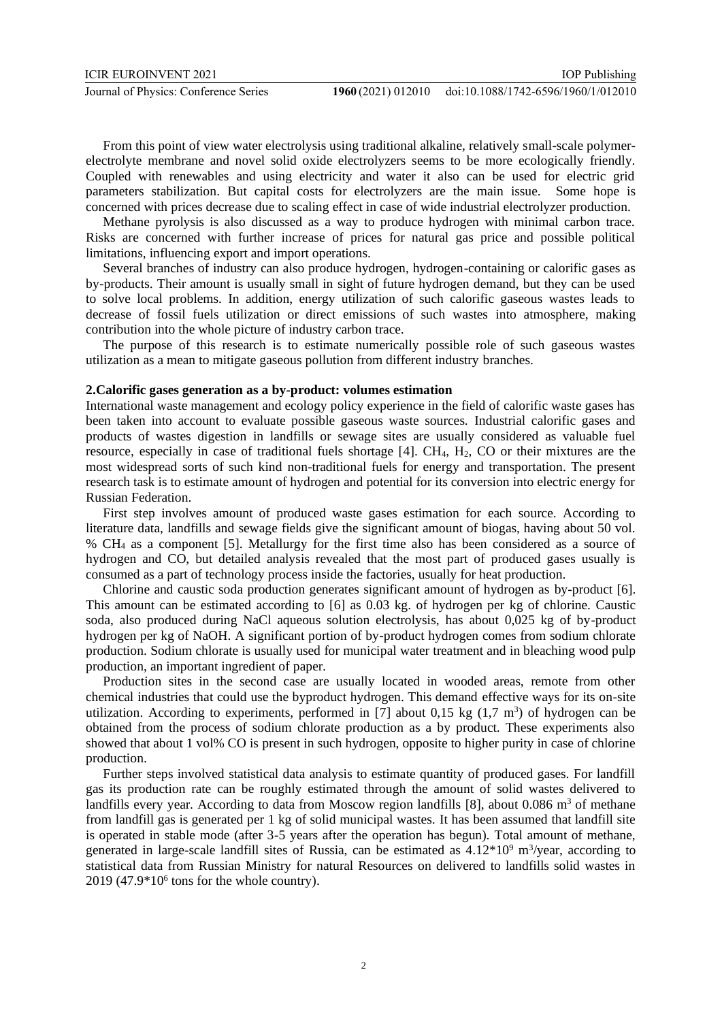From this point of view water electrolysis using traditional alkaline, relatively small-scale polymerelectrolyte membrane and novel solid oxide electrolyzers seems to be more ecologically friendly. Coupled with renewables and using electricity and water it also can be used for electric grid parameters stabilization. But capital costs for electrolyzers are the main issue. Some hope is concerned with prices decrease due to scaling effect in case of wide industrial electrolyzer production.

Methane pyrolysis is also discussed as a way to produce hydrogen with minimal carbon trace. Risks are concerned with further increase of prices for natural gas price and possible political limitations, influencing export and import operations.

Several branches of industry can also produce hydrogen, hydrogen-containing or calorific gases as by-products. Their amount is usually small in sight of future hydrogen demand, but they can be used to solve local problems. In addition, energy utilization of such calorific gaseous wastes leads to decrease of fossil fuels utilization or direct emissions of such wastes into atmosphere, making contribution into the whole picture of industry carbon trace.

The purpose of this research is to estimate numerically possible role of such gaseous wastes utilization as a mean to mitigate gaseous pollution from different industry branches.

#### **2.Calorific gases generation as a by-product: volumes estimation**

International waste management and ecology policy experience in the field of calorific waste gases has been taken into account to evaluate possible gaseous waste sources. Industrial calorific gases and products of wastes digestion in landfills or sewage sites are usually considered as valuable fuel resource, especially in case of traditional fuels shortage  $[4]$ . CH<sub>4</sub>, H<sub>2</sub>, CO or their mixtures are the most widespread sorts of such kind non-traditional fuels for energy and transportation. The present research task is to estimate amount of hydrogen and potential for its conversion into electric energy for Russian Federation.

First step involves amount of produced waste gases estimation for each source. According to literature data, landfills and sewage fields give the significant amount of biogas, having about 50 vol. % CH<sup>4</sup> as a component [5]. Metallurgy for the first time also has been considered as a source of hydrogen and CO, but detailed analysis revealed that the most part of produced gases usually is consumed as a part of technology process inside the factories, usually for heat production.

Chlorine and caustic soda production generates significant amount of hydrogen as by-product [6]. This amount can be estimated according to [6] as 0.03 kg. of hydrogen per kg of chlorine. Caustic soda, also produced during NaCl aqueous solution electrolysis, has about 0,025 kg of by-product hydrogen per kg of NaOH. A significant portion of by-product hydrogen comes from sodium chlorate production. Sodium chlorate is usually used for municipal water treatment and in bleaching wood pulp production, an important ingredient of paper.

Production sites in the second case are usually located in wooded areas, remote from other chemical industries that could use the byproduct hydrogen. This demand effective ways for its on-site utilization. According to experiments, performed in [7] about  $0.15 \text{ kg } (1.7 \text{ m}^3)$  of hydrogen can be obtained from the process of sodium chlorate production as a by product. These experiments also showed that about 1 vol% CO is present in such hydrogen, opposite to higher purity in case of chlorine production.

Further steps involved statistical data analysis to estimate quantity of produced gases. For landfill gas its production rate can be roughly estimated through the amount of solid wastes delivered to landfills every year. According to data from Moscow region landfills [8], about 0.086 m<sup>3</sup> of methane from landfill gas is generated per 1 kg of solid municipal wastes. It has been assumed that landfill site is operated in stable mode (after 3-5 years after the operation has begun). Total amount of methane, generated in large-scale landfill sites of Russia, can be estimated as  $4.12*10<sup>9</sup>$  m<sup>3</sup>/year, according to statistical data from Russian Ministry for natural Resources on delivered to landfills solid wastes in  $2019$  (47.9 $*10<sup>6</sup>$  tons for the whole country).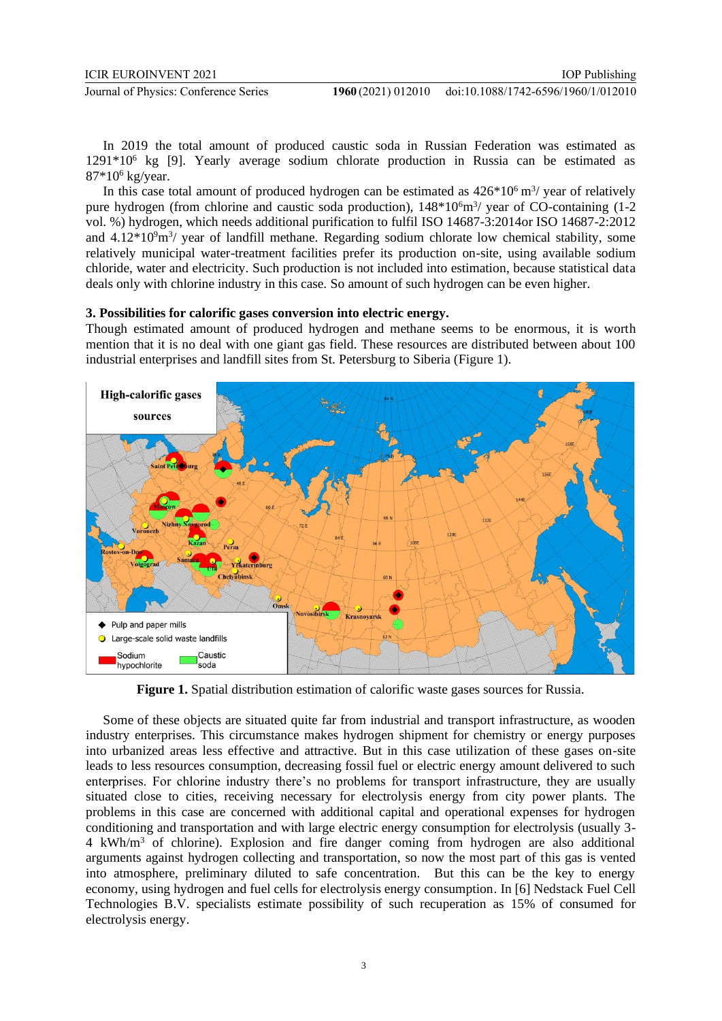In 2019 the total amount of produced caustic soda in Russian Federation was estimated as 1291\*10<sup>6</sup> kg [9]. Yearly average sodium chlorate production in Russia can be estimated as  $87*10^6$  kg/year.

In this case total amount of produced hydrogen can be estimated as  $426*10<sup>6</sup>$  m<sup>3</sup>/ year of relatively pure hydrogen (from chlorine and caustic soda production),  $148*10<sup>6</sup>m<sup>3</sup>/$  year of CO-containing (1-2 vol. %) hydrogen, which needs additional purification to fulfil ISO 14687-3:2014or ISO 14687-2:2012 and  $4.12*10<sup>9</sup>m<sup>3</sup>/$  year of landfill methane. Regarding sodium chlorate low chemical stability, some relatively municipal water-treatment facilities prefer its production on-site, using available sodium chloride, water and electricity. Such production is not included into estimation, because statistical data deals only with chlorine industry in this case. So amount of such hydrogen can be even higher.

#### **3. Possibilities for calorific gases conversion into electric energy.**

Though estimated amount of produced hydrogen and methane seems to be enormous, it is worth mention that it is no deal with one giant gas field. These resources are distributed between about 100 industrial enterprises and landfill sites from St. Petersburg to Siberia (Figure 1).



**Figure 1.** Spatial distribution estimation of calorific waste gases sources for Russia.

Some of these objects are situated quite far from industrial and transport infrastructure, as wooden industry enterprises. This circumstance makes hydrogen shipment for chemistry or energy purposes into urbanized areas less effective and attractive. But in this case utilization of these gases on-site leads to less resources consumption, decreasing fossil fuel or electric energy amount delivered to such enterprises. For chlorine industry there's no problems for transport infrastructure, they are usually situated close to cities, receiving necessary for electrolysis energy from city power plants. The problems in this case are concerned with additional capital and operational expenses for hydrogen conditioning and transportation and with large electric energy consumption for electrolysis (usually 3- 4 kWh/m<sup>3</sup> of chlorine). Explosion and fire danger coming from hydrogen are also additional arguments against hydrogen collecting and transportation, so now the most part of this gas is vented into atmosphere, preliminary diluted to safe concentration. But this can be the key to energy economy, using hydrogen and fuel cells for electrolysis energy consumption. In [6] Nedstack Fuel Cell Technologies B.V. specialists estimate possibility of such recuperation as 15% of consumed for electrolysis energy.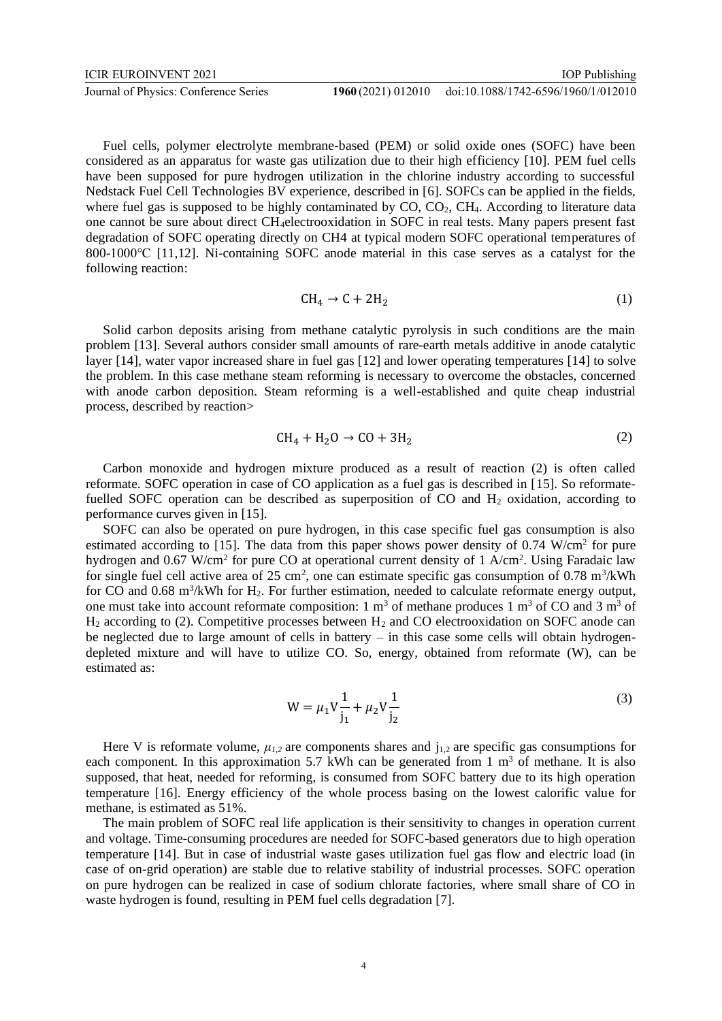Fuel cells, polymer electrolyte membrane-based (PEM) or solid oxide ones (SOFC) have been considered as an apparatus for waste gas utilization due to their high efficiency [10]. PEM fuel cells have been supposed for pure hydrogen utilization in the chlorine industry according to successful Nedstack Fuel Cell Technologies BV experience, described in [6]. SOFCs can be applied in the fields, where fuel gas is supposed to be highly contaminated by  $CO$ ,  $CO<sub>2</sub>$ ,  $CH<sub>4</sub>$ . According to literature data one cannot be sure about direct CH4electrooxidation in SOFC in real tests. Many papers present fast degradation of SOFC operating directly on CH4 at typical modern SOFC operational temperatures of 800-1000℃ [11,12]. Ni-containing SOFC anode material in this case serves as a catalyst for the following reaction:

$$
CH_4 \to C + 2H_2 \tag{1}
$$

Solid carbon deposits arising from methane catalytic pyrolysis in such conditions are the main problem [13]. Several authors consider small amounts of rare-earth metals additive in anode catalytic layer [14], water vapor increased share in fuel gas [12] and lower operating temperatures [14] to solve the problem. In this case methane steam reforming is necessary to overcome the obstacles, concerned with anode carbon deposition. Steam reforming is a well-established and quite cheap industrial process, described by reaction>

$$
CH_4 + H_2O \rightarrow CO + 3H_2 \tag{2}
$$

Carbon monoxide and hydrogen mixture produced as a result of reaction (2) is often called reformate. SOFC operation in case of CO application as a fuel gas is described in [15]. So reformatefuelled SOFC operation can be described as superposition of  $CO$  and  $H<sub>2</sub>$  oxidation, according to performance curves given in [15].

SOFC can also be operated on pure hydrogen, in this case specific fuel gas consumption is also estimated according to [15]. The data from this paper shows power density of  $0.74$  W/cm<sup>2</sup> for pure hydrogen and 0.67 W/cm<sup>2</sup> for pure CO at operational current density of 1 A/cm<sup>2</sup>. Using Faradaic law for single fuel cell active area of 25 cm<sup>2</sup>, one can estimate specific gas consumption of  $0.78 \text{ m}^3/\text{kWh}$ for CO and  $0.68 \text{ m}^3/\text{kWh}$  for H<sub>2</sub>. For further estimation, needed to calculate reformate energy output, one must take into account reformate composition: 1  $\text{m}^3$  of methane produces 1  $\text{m}^3$  of CO and 3  $\text{m}^3$  of  $H_2$  according to (2). Competitive processes between  $H_2$  and CO electrooxidation on SOFC anode can be neglected due to large amount of cells in battery – in this case some cells will obtain hydrogendepleted mixture and will have to utilize CO. So, energy, obtained from reformate (W), can be estimated as:

$$
W = \mu_1 V \frac{1}{j_1} + \mu_2 V \frac{1}{j_2}
$$
 (3)

Here V is reformate volume,  $\mu_{1,2}$  are components shares and  $j_{1,2}$  are specific gas consumptions for each component. In this approximation 5.7 kWh can be generated from 1  $m<sup>3</sup>$  of methane. It is also supposed, that heat, needed for reforming, is consumed from SOFC battery due to its high operation temperature [16]. Energy efficiency of the whole process basing on the lowest calorific value for methane, is estimated as 51%.

The main problem of SOFC real life application is their sensitivity to changes in operation current and voltage. Time-consuming procedures are needed for SOFC-based generators due to high operation temperature [14]. But in case of industrial waste gases utilization fuel gas flow and electric load (in case of on-grid operation) are stable due to relative stability of industrial processes. SOFC operation on pure hydrogen can be realized in case of sodium chlorate factories, where small share of CO in waste hydrogen is found, resulting in PEM fuel cells degradation [7].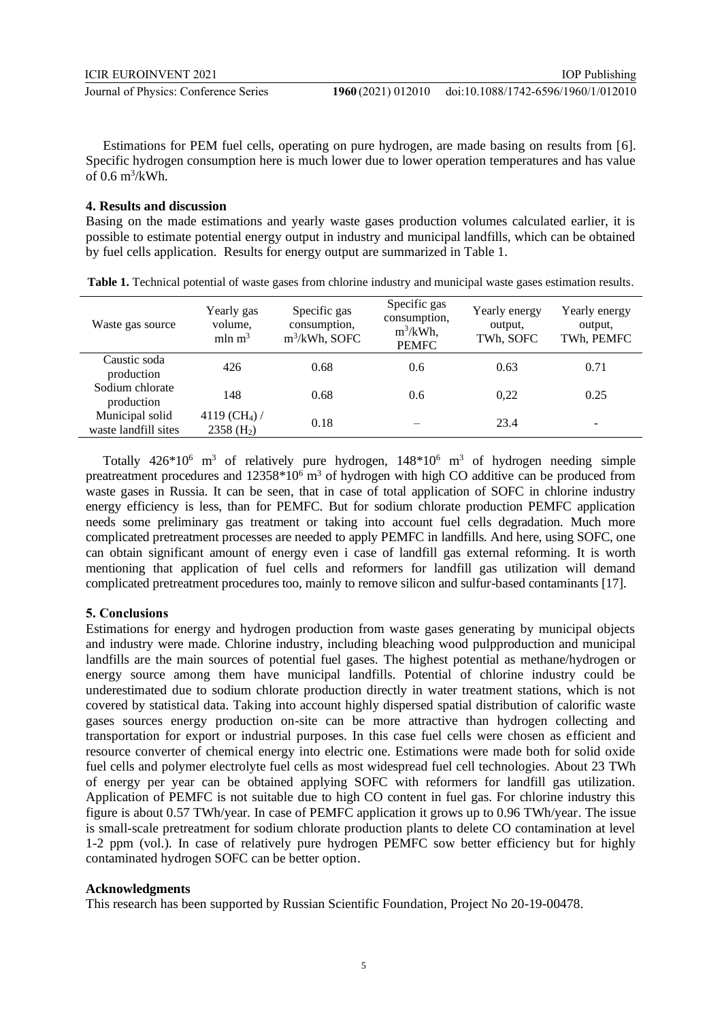Estimations for PEM fuel cells, operating on pure hydrogen, are made basing on results from [6]. Specific hydrogen consumption here is much lower due to lower operation temperatures and has value of 0.6 m<sup>3</sup> /kWh.

#### **4. Results and discussion**

Basing on the made estimations and yearly waste gases production volumes calculated earlier, it is possible to estimate potential energy output in industry and municipal landfills, which can be obtained by fuel cells application. Results for energy output are summarized in Table 1.

| Waste gas source                        | Yearly gas<br>volume.<br>$mln \, m^3$                 | Specific gas<br>consumption,<br>$m^3/kWh$ , SOFC | Specific gas<br>consumption,<br>$m^3/kWh$ ,<br><b>PEMFC</b> | Yearly energy<br>output.<br>TWh, SOFC | Yearly energy<br>output,<br>TWh, PEMFC |
|-----------------------------------------|-------------------------------------------------------|--------------------------------------------------|-------------------------------------------------------------|---------------------------------------|----------------------------------------|
| Caustic soda<br>production              | 426                                                   | 0.68                                             | 0.6                                                         | 0.63                                  | 0.71                                   |
| Sodium chlorate<br>production           | 148                                                   | 0.68                                             | 0.6                                                         | 0.22                                  | 0.25                                   |
| Municipal solid<br>waste landfill sites | 4119 (CH <sub>4</sub> ) /<br>$2358$ (H <sub>2</sub> ) | 0.18                                             |                                                             | 23.4                                  |                                        |

**Table 1.** Technical potential of waste gases from chlorine industry and municipal waste gases estimation results.

Totally  $426*10^6$  m<sup>3</sup> of relatively pure hydrogen,  $148*10^6$  m<sup>3</sup> of hydrogen needing simple preatreatment procedures and  $12358*10^6$  m<sup>3</sup> of hydrogen with high CO additive can be produced from waste gases in Russia. It can be seen, that in case of total application of SOFC in chlorine industry energy efficiency is less, than for PEMFC. But for sodium chlorate production PEMFC application needs some preliminary gas treatment or taking into account fuel cells degradation. Much more complicated pretreatment processes are needed to apply PEMFC in landfills. And here, using SOFC, one can obtain significant amount of energy even i case of landfill gas external reforming. It is worth mentioning that application of fuel cells and reformers for landfill gas utilization will demand complicated pretreatment procedures too, mainly to remove silicon and sulfur-based contaminants [17].

#### **5. Conclusions**

Estimations for energy and hydrogen production from waste gases generating by municipal objects and industry were made. Chlorine industry, including bleaching wood pulpproduction and municipal landfills are the main sources of potential fuel gases. The highest potential as methane/hydrogen or energy source among them have municipal landfills. Potential of chlorine industry could be underestimated due to sodium chlorate production directly in water treatment stations, which is not covered by statistical data. Taking into account highly dispersed spatial distribution of calorific waste gases sources energy production on-site can be more attractive than hydrogen collecting and transportation for export or industrial purposes. In this case fuel cells were chosen as efficient and resource converter of chemical energy into electric one. Estimations were made both for solid oxide fuel cells and polymer electrolyte fuel cells as most widespread fuel cell technologies. About 23 TWh of energy per year can be obtained applying SOFC with reformers for landfill gas utilization. Application of PEMFC is not suitable due to high CO content in fuel gas. For chlorine industry this figure is about 0.57 TWh/year. In case of PEMFC application it grows up to 0.96 TWh/year. The issue is small-scale pretreatment for sodium chlorate production plants to delete CO contamination at level 1-2 ppm (vol.). In case of relatively pure hydrogen PEMFC sow better efficiency but for highly contaminated hydrogen SOFC can be better option.

#### **Acknowledgments**

This research has been supported by Russian Scientific Foundation, Project No 20-19-00478.